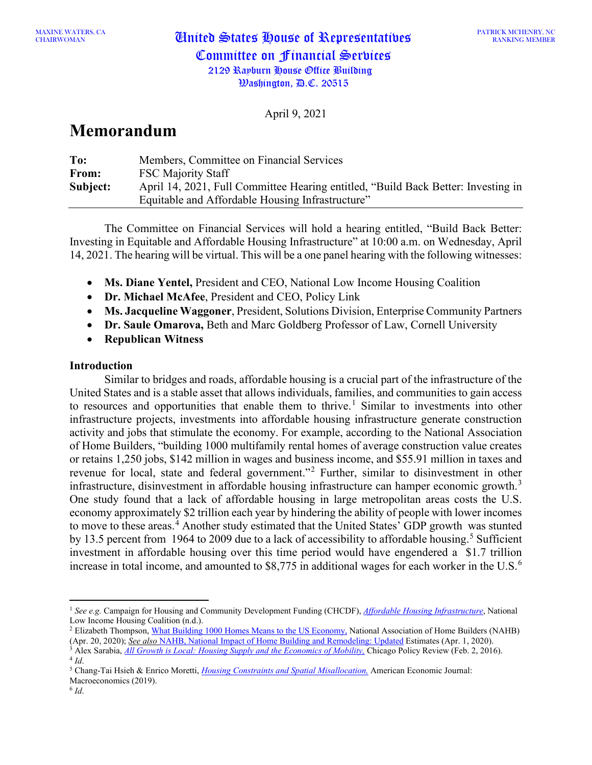CHAIRWOMAN United States House of Representatives Committee on Financial Services 2129 Rayburn House Office Building

April 9, 2021

# **Memorandum**

| To:      | Members, Committee on Financial Services                                          |
|----------|-----------------------------------------------------------------------------------|
| From:    | <b>FSC Majority Staff</b>                                                         |
| Subject: | April 14, 2021, Full Committee Hearing entitled, "Build Back Better: Investing in |
|          | Equitable and Affordable Housing Infrastructure"                                  |

The Committee on Financial Services will hold a hearing entitled, "Build Back Better: Investing in Equitable and Affordable Housing Infrastructure" at 10:00 a.m. on Wednesday, April 14, 2021. The hearing will be virtual. This will be a one panel hearing with the following witnesses:

- **Ms. Diane Yentel,** President and CEO, National Low Income Housing Coalition
- **Dr. Michael McAfee**, President and CEO, Policy Link
- **Ms. Jacqueline Waggoner**, President, Solutions Division, Enterprise Community Partners
- **Dr. Saule Omarova,** Beth and Marc Goldberg Professor of Law, Cornell University
- **Republican Witness**

# **Introduction**

Similar to bridges and roads, affordable housing is a crucial part of the infrastructure of the United States and is a stable asset that allows individuals, families, and communities to gain access to resources and opportunities that enable them to thrive. [1](#page-0-0) Similar to investments into other infrastructure projects, investments into affordable housing infrastructure generate construction activity and jobs that stimulate the economy. For example, according to the National Association of Home Builders, "building 1000 multifamily rental homes of average construction value creates or retains 1,250 jobs, \$142 million in wages and business income, and \$55.91 million in taxes and revenue for local, state and federal government."[2](#page-0-1) Further, similar to disinvestment in other infrastructure, disinvestment in affordable housing infrastructure can hamper economic growth.<sup>[3](#page-0-2)</sup> One study found that a lack of affordable housing in large metropolitan areas costs the U.S. economy approximately \$2 trillion each year by hindering the ability of people with lower incomes to move to these areas. [4](#page-0-3) Another study estimated that the United States' GDP growth was stunted by 13.[5](#page-0-4) percent from 1964 to 2009 due to a lack of accessibility to affordable housing.<sup>5</sup> Sufficient investment in affordable housing over this time period would have engendered a \$1.7 trillion increase in total income, and amounted to \$8,775 in additional wages for each worker in the U.S. [6](#page-0-5)

<span id="page-0-0"></span><sup>1</sup> *See e.g.* Campaign for Housing and Community Development Funding (CHCDF), *[Affordable Housing Infrastructure](https://nlihc.org/sites/default/files/Housing_as_Infrastructure_CHCDF.pdf)*, National Low Income Housing Coalition (n.d.).

<span id="page-0-1"></span><sup>&</sup>lt;sup>2</sup> Elizabeth Thompson[, What Building 1000 Homes Means to the US Economy,](https://www.nahb.org/News-and-Economics/Industry-News/Press-Releases/2020/04/What-Building-1000-Homes-Means-to-the-US-Economy) National Association of Home Builders (NAHB) (Apr. 20, 2020); *See also* [NAHB, National Impact of Home Building and Remodeling: Updated](https://www.nahb.org/%7E/media/NAHB/news-and-economics/docs/housing-economics-plus/special-studies/2020/special-study-national-impact-of-homebuilding-and-remodeling-april-2020) Estimates (Apr. 1, 2020).

<span id="page-0-3"></span><span id="page-0-2"></span><sup>&</sup>lt;sup>3</sup> Alex Sarabia, <u>[All Growth is Local: Housing Supply and the Economics of Mobility,](https://chicagopolicyreview.org/2016/02/02/all-growth-is-local-housing-supply-and-the-economics-of-mobility/) Chicago Policy Review (Feb. 2, 2016).<br><sup>4</sup> Id.</u>

<span id="page-0-4"></span><sup>4</sup> *Id*. 5 Chang-Tai Hsieh & Enrico Moretti, *[Housing Constraints and Spatial Misallocation,](https://pubs.aeaweb.org/doi/pdfplus/10.1257/mac.20170388)* American Economic Journal:

Macroeconomics (2019).

<span id="page-0-5"></span><sup>6</sup> *Id*.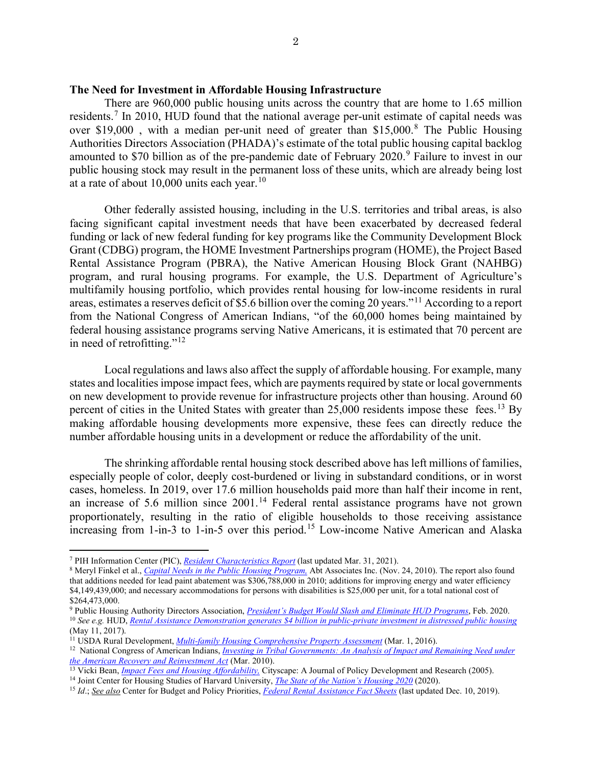## **The Need for Investment in Affordable Housing Infrastructure**

There are 960,000 public housing units across the country that are home to 1.65 million residents.[7](#page-1-0) In 2010, HUD found that the national average per-unit estimate of capital needs was over \$19,000, with a median per-unit need of greater than \$15,000.<sup>[8](#page-1-1)</sup> The Public Housing Authorities Directors Association (PHADA)'s estimate of the total public housing capital backlog amounted to \$70 billion as of the pre-pandemic date of February 2020.<sup>[9](#page-1-2)</sup> Failure to invest in our public housing stock may result in the permanent loss of these units, which are already being lost at a rate of about  $10,000$  $10,000$  units each year.<sup>10</sup>

Other federally assisted housing, including in the U.S. territories and tribal areas, is also facing significant capital investment needs that have been exacerbated by decreased federal funding or lack of new federal funding for key programs like the Community Development Block Grant (CDBG) program, the HOME Investment Partnerships program (HOME), the Project Based Rental Assistance Program (PBRA), the Native American Housing Block Grant (NAHBG) program, and rural housing programs. For example, the U.S. Department of Agriculture's multifamily housing portfolio, which provides rental housing for low-income residents in rural areas, estimates a reserves deficit of \$5.6 billion over the coming 20 years."[11](#page-1-4) According to a report from the National Congress of American Indians, "of the 60,000 homes being maintained by federal housing assistance programs serving Native Americans, it is estimated that 70 percent are in need of retrofitting."[12](#page-1-5)

Local regulations and laws also affect the supply of affordable housing. For example, many states and localities impose impact fees, which are payments required by state or local governments on new development to provide revenue for infrastructure projects other than housing. Around 60 percent of cities in the United States with greater than  $25,000$  residents impose these fees.<sup>[13](#page-1-6)</sup> By making affordable housing developments more expensive, these fees can directly reduce the number affordable housing units in a development or reduce the affordability of the unit.

The shrinking affordable rental housing stock described above has left millions of families, especially people of color, deeply cost-burdened or living in substandard conditions, or in worst cases, homeless. In 2019, over 17.6 million households paid more than half their income in rent, an increase of 5.6 million since 2001.<sup>[14](#page-1-7)</sup> Federal rental assistance programs have not grown proportionately, resulting in the ratio of eligible households to those receiving assistance increasing from 1-in-3 to 1-in-5 over this period.<sup>[15](#page-1-8)</sup> Low-income Native American and Alaska

<span id="page-1-0"></span><sup>7</sup> PIH Information Center (PIC), *[Resident Characteristics Report](https://pic.hud.gov/pic/RCRPublic/rcrmain.asp)* (last updated Mar. 31, 2021).

<span id="page-1-1"></span><sup>8</sup> Meryl Finkel et al., *[Capital Needs in the Public Housing Program,](https://www.hud.gov/sites/documents/PH_CAPITAL_NEEDS.PDF)* Abt Associates Inc. (Nov. 24, 2010). The report also found that additions needed for lead paint abatement was \$306,788,000 in 2010; additions for improving energy and water efficiency \$4,149,439,000; and necessary accommodations for persons with disabilities is \$25,000 per unit, for a total national cost of \$264,473,000.

<span id="page-1-3"></span><span id="page-1-2"></span><sup>9</sup> Public Housing Authority Directors Association, *[President's Budget Would Slash and Eliminate HUD Programs](https://www.phada.org/Publications/Blog/View/ArticleId/13004/President-s-Budget-Would-Slash-and-Eliminate-HUD-Programs-2)*, Feb. 2020. <sup>10</sup> *See e.g.* HUD, *[Rental Assistance Demonstration generates \\$4 billion in public-private investment in distressed public housing](https://archives.hud.gov/news/2017/pr17-033.cfm)* (May 11, 2017).

<sup>11</sup> USDA Rural Development, *[Multi-family Housing Comprehensive Property Assessment](https://www.rd.usda.gov/files/reports/USDA-RD-CPAMFH.pdf)* (Mar. 1, 2016).

<span id="page-1-5"></span><span id="page-1-4"></span><sup>&</sup>lt;sup>12</sup> National Congress of American Indians, *Investing in Tribal Governments: An Analysis of Impact and Remaining Need under [the American Recovery and Reinvestment Act](https://www.ncai.org/resources/ncai-publications/InvestinginTribalGovernmentsAnAnalysisofARRA.pdf)* (Mar. 2010).

<sup>&</sup>lt;sup>13</sup> Vicki Bean, *Impact Fees and Housing Affordability*, Cityscape: A Journal of Policy Development and Research (2005).

<span id="page-1-8"></span><span id="page-1-7"></span><span id="page-1-6"></span><sup>&</sup>lt;sup>14</sup> Joint Center for Housing Studies of Harvard University, *The State of the Nation's Housing 2020* (2020).<br><sup>15</sup> *Id.*; *<u>See also</u> Center for Budget and Policy Priorities, <i>[Federal Rental Assistance Fact](https://www.cbpp.org/research/housing/federal-rental-assistance-fact-sheets#US) Sheets* (last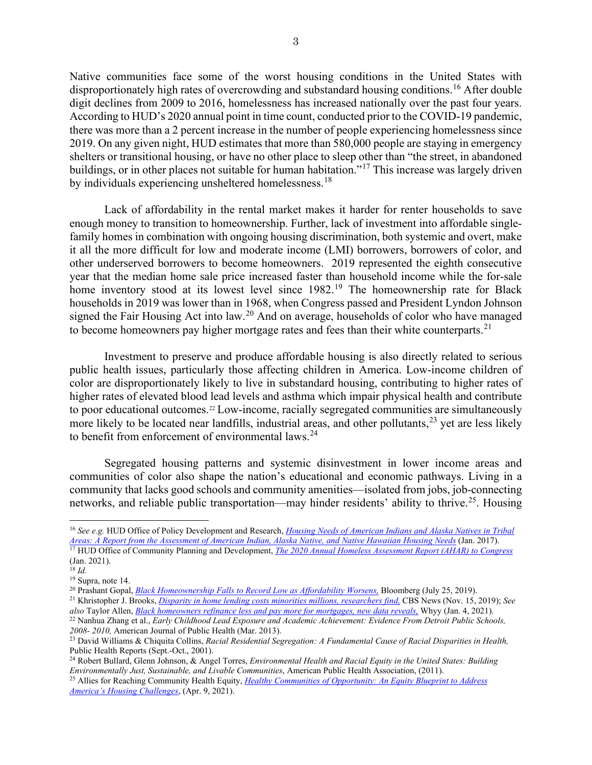Native communities face some of the worst housing conditions in the United States with disproportionately high rates of overcrowding and substandard housing conditions.<sup>[16](#page-2-0)</sup> After double digit declines from 2009 to 2016, homelessness has increased nationally over the past four years. According to HUD's 2020 annual point in time count, conducted prior to the COVID-19 pandemic, there was more than a 2 percent increase in the number of people experiencing homelessness since 2019. On any given night, HUD estimates that more than 580,000 people are staying in emergency shelters or transitional housing, or have no other place to sleep other than "the street, in abandoned buildings, or in other places not suitable for human habitation."<sup>[17](#page-2-1)</sup> This increase was largely driven by individuals experiencing unsheltered homelessness.<sup>[18](#page-2-2)</sup>

Lack of affordability in the rental market makes it harder for renter households to save enough money to transition to homeownership. Further, lack of investment into affordable singlefamily homes in combination with ongoing housing discrimination, both systemic and overt, make it all the more difficult for low and moderate income (LMI) borrowers, borrowers of color, and other underserved borrowers to become homeowners. 2019 represented the eighth consecutive year that the median home sale price increased faster than household income while the for-sale home inventory stood at its lowest level since [19](#page-2-3)82.<sup>19</sup> The homeownership rate for Black households in 2019 was lower than in 1968, when Congress passed and President Lyndon Johnson signed the Fair Housing Act into law.<sup>[20](#page-2-4)</sup> And on average, households of color who have managed to become homeowners pay higher mortgage rates and fees than their white counterparts.<sup>[21](#page-2-5)</sup>

Investment to preserve and produce affordable housing is also directly related to serious public health issues, particularly those affecting children in America. Low-income children of color are disproportionately likely to live in substandard housing, contributing to higher rates of higher rates of elevated blood lead levels and asthma which impair physical health and contribute to poor educational outcomes.<sup>[22](#page-2-6)</sup> Low-income, racially segregated communities are simultaneously more likely to be located near landfills, industrial areas, and other pollutants,<sup>[23](#page-2-7)</sup> yet are less likely to benefit from enforcement of environmental laws.<sup>[24](#page-2-8)</sup>

Segregated housing patterns and systemic disinvestment in lower income areas and communities of color also shape the nation's educational and economic pathways. Living in a community that lacks good schools and community amenities—isolated from jobs, job-connecting networks, and reliable public transportation—may hinder residents' ability to thrive.<sup>25</sup>. Housing

<span id="page-2-0"></span><sup>16</sup> *See e.g.* HUD Office of Policy Development and Research, *[Housing Needs of American Indians and Alaska Natives in Tribal](https://www.huduser.gov/portal/sites/default/files/pdf/HNAIHousingNeeds.pdf)  [Areas: A Report from the Assessment of American Indian, Alaska Native, and Native Hawaiian Housing Needs](https://www.huduser.gov/portal/sites/default/files/pdf/HNAIHousingNeeds.pdf)* (Jan. 2017). <sup>17</sup> HUD Office of Community Planning and Development, *[The 2020 Annual Homeless Assessment Report \(AHAR\) to Congress](https://www.huduser.gov/portal/sites/default/files/pdf/2020-AHAR-Part-1.pdf)* (Jan. 2021).

<span id="page-2-2"></span><span id="page-2-1"></span> $^{18}$  *Id.* 

<sup>19</sup> Supra, note 14.

<span id="page-2-4"></span><span id="page-2-3"></span><sup>20</sup> Prashant Gopal, *[Black Homeownership Falls to Record Low as Affordability Worsens,](https://www.bloomberg.com/news/articles/2019-07-25/black-homeownership-falls-to-record-low-as-affordability-worsens)* Bloomberg (July 25, 2019).

<span id="page-2-5"></span><sup>21</sup> Khristopher J. Brooks, *[Disparity in home lending costs minorities millions, researchers find,](https://www.cbsnews.com/news/mortgage-discrimination-black-and-latino-paying-millions-more-in-interest-study-shows/)* CBS News (Nov. 15, 2019); *See also* Taylor Allen, *[Black homeowners refinance less and pay more for mortgages, new data reveals,](https://whyy.org/articles/black-homeowners-refinance-less-and-pay-more-for-mortgages-new-data-reveals/)* Whyy (Jan. 4, 2021).

<span id="page-2-6"></span><sup>22</sup> Nanhua Zhang et al., *Early Childhood Lead Exposure and Academic Achievement: Evidence From Detroit Public Schools, 2008- 2010,* American Journal of Public Health (Mar. 2013).

<span id="page-2-7"></span><sup>23</sup> David Williams & Chiquita Collins, *Racial Residential Segregation: A Fundamental Cause of Racial Disparities in Health,* Public Health Reports (Sept.-Oct., 2001).

<span id="page-2-8"></span><sup>24</sup> Robert Bullard, Glenn Johnson, & Angel Torres, *Environmental Health and Racial Equity in the United States: Building Environmentally Just, Sustainable, and Livable Communities*, American Public Health Association, (2011).

<span id="page-2-9"></span><sup>25</sup> Allies for Reaching Community Health Equity, *[Healthy Communities of Opportunity: An Equity Blueprint to Address](https://healthequity.globalpolicysolutions.org/resources/reports-and-fact-sheets/healthy-communities-of-opportunity-an-equity-blueprint-to-address-americas-housing-challenges/)  [America's Housing Challenges](https://healthequity.globalpolicysolutions.org/resources/reports-and-fact-sheets/healthy-communities-of-opportunity-an-equity-blueprint-to-address-americas-housing-challenges/)*, (Apr. 9, 2021).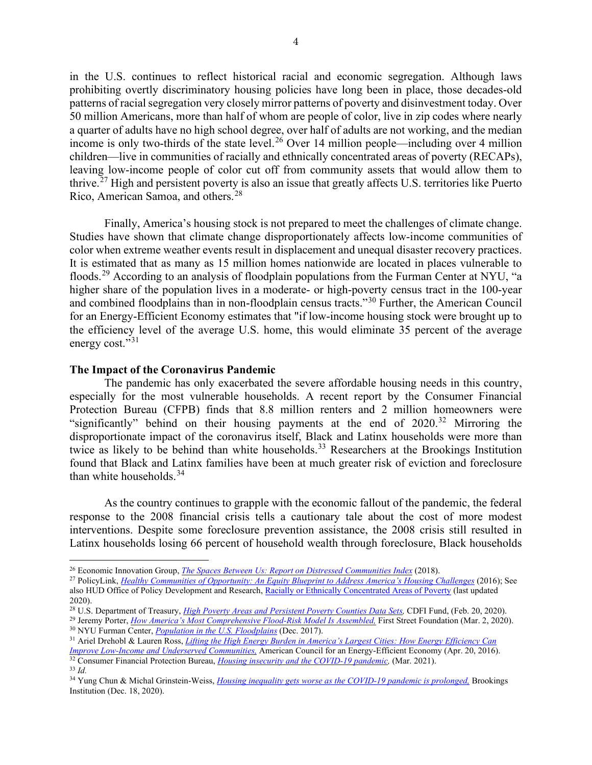in the U.S. continues to reflect historical racial and economic segregation. Although laws prohibiting overtly discriminatory housing policies have long been in place, those decades-old patterns of racial segregation very closely mirror patterns of poverty and disinvestment today. Over 50 million Americans, more than half of whom are people of color, live in zip codes where nearly a quarter of adults have no high school degree, over half of adults are not working, and the median income is only two-thirds of the state level.<sup>[26](#page-3-0)</sup> Over 14 million people—including over 4 million children—live in communities of racially and ethnically concentrated areas of poverty (RECAPs), leaving low-income people of color cut off from community assets that would allow them to thrive.[27](#page-3-1) High and persistent poverty is also an issue that greatly affects U.S. territories like Puerto Rico, American Samoa, and others.[28](#page-3-2)

Finally, America's housing stock is not prepared to meet the challenges of climate change. Studies have shown that climate change disproportionately affects low-income communities of color when extreme weather events result in displacement and unequal disaster recovery practices. It is estimated that as many as 15 million homes nationwide are located in places vulnerable to floods.<sup>[29](#page-3-3)</sup> According to an analysis of floodplain populations from the Furman Center at NYU, "a higher share of the population lives in a moderate- or high-poverty census tract in the 100-year and combined floodplains than in non-floodplain census tracts."[30](#page-3-4) Further, the American Council for an Energy-Efficient Economy estimates that "if low-income housing stock were brought up to the efficiency level of the average U.S. home, this would eliminate 35 percent of the average energy cost."<sup>[31](#page-3-5)</sup>

#### **The Impact of the Coronavirus Pandemic**

The pandemic has only exacerbated the severe affordable housing needs in this country, especially for the most vulnerable households. A recent report by the Consumer Financial Protection Bureau (CFPB) finds that 8.8 million renters and 2 million homeowners were "significantly" behind on their housing payments at the end of 2020.<sup>[32](#page-3-6)</sup> Mirroring the disproportionate impact of the coronavirus itself, Black and Latinx households were more than twice as likely to be behind than white households.<sup>[33](#page-3-7)</sup> Researchers at the Brookings Institution found that Black and Latinx families have been at much greater risk of eviction and foreclosure than white households.<sup>[34](#page-3-8)</sup>

As the country continues to grapple with the economic fallout of the pandemic, the federal response to the 2008 financial crisis tells a cautionary tale about the cost of more modest interventions. Despite some foreclosure prevention assistance, the 2008 crisis still resulted in Latinx households losing 66 percent of household wealth through foreclosure, Black households

<span id="page-3-2"></span><sup>28</sup> U.S. Department of Treasury, *[High Poverty Areas and Persistent Poverty](https://www.cdfifund.gov/research-data) Counties Data Sets,* CDFI Fund, (Feb. 20, 2020).

<span id="page-3-0"></span><sup>26</sup> Economic Innovation Group, *[The Spaces Between Us: Report on Distressed Communities Index](https://eig.org/dci/report)* (2018).

<span id="page-3-1"></span><sup>27</sup> PolicyLink, *[Healthy Communities of Opportunity: An Equity Blueprint to Address America's Housing Challenges](https://www.policylink.org/resources-tools/healthy-communities-of-opportunity)* (2016); See also HUD Office of Policy Development and Research, [Racially or Ethnically Concentrated Areas of Poverty](https://hudgis-hud.opendata.arcgis.com/datasets/56de4edea8264fe5a344da9811ef5d6e_0?geometry=-108.992%2C28.845%2C-134.480%2C67.170) (last updated 2020).

<span id="page-3-4"></span><span id="page-3-3"></span><sup>&</sup>lt;sup>29</sup> Jeremy Porter, *How America's Most Comprehensive Flood-Risk Model Is Assembled*. First Street Foundation (Mar. 2, 2020).<br><sup>30</sup> NYU Furman Center, *[Population in the U.S. Floodplains](https://furmancenter.org/files/fact-sheets/Floodplain_PopulationBrief_12DEC2017.pdf)* (Dec. 2017).

<span id="page-3-5"></span><sup>31</sup> Ariel Drehobl & Lauren Ross, *[Lifting the High Energy Burden in America's Largest Cities: How](https://www.aceee.org/research-report/u1602) Energy Efficiency Can [Improve Low-Income and Underserved Communities,](https://www.aceee.org/research-report/u1602)* American Council for an Energy-Efficient Economy (Apr. 20, 2016).

<span id="page-3-6"></span><sup>32</sup> Consumer Financial Protection Bureau, *[Housing insecurity and the COVID-19 pandemic,](https://files.consumerfinance.gov/f/documents/cfpb_Housing_insecurity_and_the_COVID-19_pandemic.pdf)* (Mar. 2021). <sup>33</sup> *Id.*

<span id="page-3-8"></span><span id="page-3-7"></span><sup>34</sup> Yung Chun & Michal Grinstein-Weiss, *[Housing inequality gets worse as the](https://www.brookings.edu/blog/up-front/2020/12/18/housing-inequality-gets-worse-as-the-covid-19-pandemic-is-prolonged/) COVID-19 pandemic is prolonged,* Brookings Institution (Dec. 18, 2020).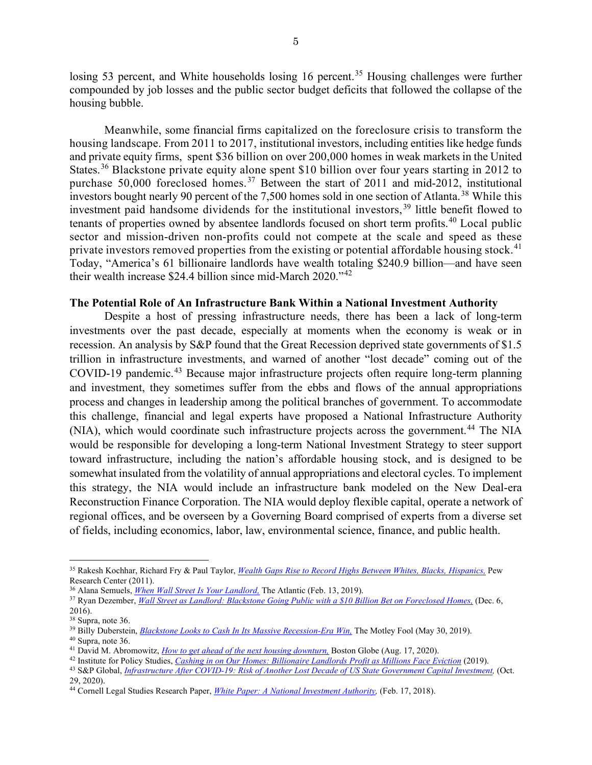losing 53 percent, and White households losing 16 percent.<sup>[35](#page-4-0)</sup> Housing challenges were further compounded by job losses and the public sector budget deficits that followed the collapse of the housing bubble.

Meanwhile, some financial firms capitalized on the foreclosure crisis to transform the housing landscape. From 2011 to 2017, institutional investors, including entities like hedge funds and private equity firms, spent \$36 billion on over 200,000 homes in weak markets in the United States.<sup>[36](#page-4-1)</sup> Blackstone private equity alone spent \$10 billion over four years starting in 2012 to purchase 50,000 foreclosed homes.<sup>[37](#page-4-2)</sup> Between the start of 2011 and mid-2012, institutional investors bought nearly 90 percent of the 7,500 homes sold in one section of Atlanta. [38](#page-4-3) While this investment paid handsome dividends for the institutional investors,  $39$  little benefit flowed to tenants of properties owned by absentee landlords focused on short term profits.<sup>[40](#page-4-5)</sup> Local public sector and mission-driven non-profits could not compete at the scale and speed as these private investors removed properties from the existing or potential affordable housing stock.<sup>[41](#page-4-6)</sup> Today, "America's 61 billionaire landlords have wealth totaling \$240.9 billion—and have seen their wealth increase \$24.4 billion since mid-March 2020."[42](#page-4-7)

## **The Potential Role of An Infrastructure Bank Within a National Investment Authority**

Despite a host of pressing infrastructure needs, there has been a lack of long-term investments over the past decade, especially at moments when the economy is weak or in recession. An analysis by S&P found that the Great Recession deprived state governments of \$1.5 trillion in infrastructure investments, and warned of another "lost decade" coming out of the COVID-19 pandemic.<sup>[43](#page-4-8)</sup> Because major infrastructure projects often require long-term planning and investment, they sometimes suffer from the ebbs and flows of the annual appropriations process and changes in leadership among the political branches of government. To accommodate this challenge, financial and legal experts have proposed a National Infrastructure Authority (NIA), which would coordinate such infrastructure projects across the government.<sup>[44](#page-4-9)</sup> The NIA would be responsible for developing a long-term National Investment Strategy to steer support toward infrastructure, including the nation's affordable housing stock, and is designed to be somewhat insulated from the volatility of annual appropriations and electoral cycles. To implement this strategy, the NIA would include an infrastructure bank modeled on the New Deal-era Reconstruction Finance Corporation. The NIA would deploy flexible capital, operate a network of regional offices, and be overseen by a Governing Board comprised of experts from a diverse set of fields, including economics, labor, law, environmental science, finance, and public health.

<span id="page-4-0"></span><sup>35</sup> Rakesh Kochhar, Richard Fry & Paul Taylor, *[Wealth Gaps Rise to Record Highs Between Whites, Blacks, Hispanics,](https://www.pewresearch.org/social-trends/2011/07/26/wealth-gaps-rise-to-record-highs-between-whites-blacks-hispanics/)* Pew Research Center (2011).

<sup>36</sup> Alana Semuels, *[When Wall Street Is Your Landlord,](https://www.theatlantic.com/technology/archive/2019/02/single-family-landlords-wall-street/582394/)* The Atlantic (Feb. 13, 2019).

<span id="page-4-2"></span><span id="page-4-1"></span><sup>37</sup> Ryan Dezember, *[Wall Street as Landlord: Blackstone Going Public with a \\$10 Billion Bet on Foreclosed Homes,](https://www.wsj.com/articles/wall-street-as-landlord-blackstone-going-public-with-a-10-billion-bet-on-foreclosed-homes-1481020202)* (Dec. 6, 2016).

<span id="page-4-3"></span><sup>38</sup> Supra, note 36.

<span id="page-4-4"></span><sup>39</sup> Billy Duberstein, *Blackstone Looks [to Cash In Its Massive Recession-Era Win,](https://www.fool.com/investing/2019/05/30/blackstone-looks-to-cash-in-this-massive-recession.aspx)* The Motley Fool (May 30, 2019).

<span id="page-4-6"></span><span id="page-4-5"></span><sup>&</sup>lt;sup>40</sup> Supra, note 36.<br><sup>41</sup> David M. Abromowitz, *How to get ahead of the next housing downturn*, Boston Globe (Aug. 17, 2020).

<span id="page-4-7"></span><sup>&</sup>lt;sup>42</sup> Institute for Policy Studies, *Cashing in on Our Homes: Billionaire Landlords Profit as Millions Face Eviction* (2019).

<span id="page-4-8"></span><sup>43</sup> S&P Global, *[Infrastructure After COVID-19: Risk of Another Lost Decade of US State Government Capital Investment,](https://www.spglobal.com/ratings/en/research/articles/201029-infrastructure-after-covid-19-risk-of-another-lost-decade-of-u-s-state-government-capital-investment-11709276)* (Oct. 29, 2020).

<span id="page-4-9"></span><sup>44</sup> Cornell Legal Studies Research Paper, *[White Paper: A National Investment Authority,](https://papers.ssrn.com/sol3/papers.cfm?abstract_id=3125533)* (Feb. 17, 2018).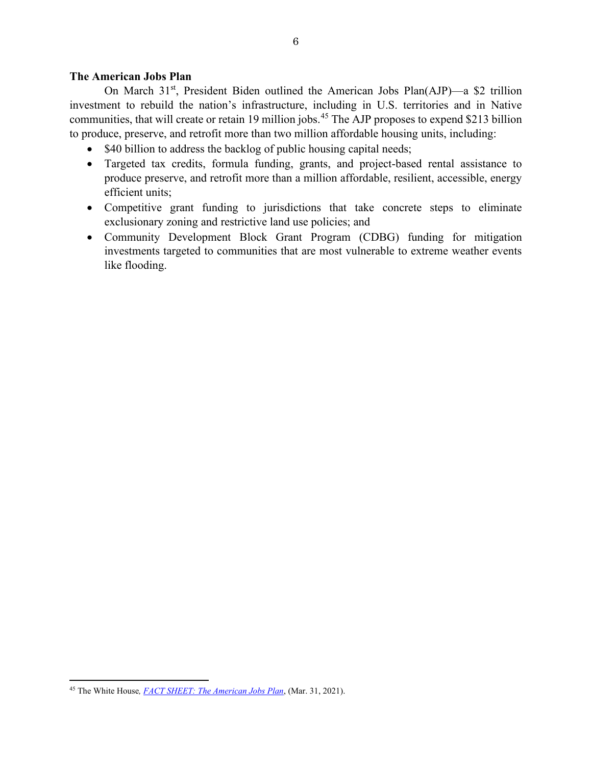# **The American Jobs Plan**

On March 31st, President Biden outlined the American Jobs Plan(AJP)—a \$2 trillion investment to rebuild the nation's infrastructure, including in U.S. territories and in Native communities, that will create or retain 19 million jobs.<sup>[45](#page-5-0)</sup> The AJP proposes to expend \$213 billion to produce, preserve, and retrofit more than two million affordable housing units, including:

- \$40 billion to address the backlog of public housing capital needs;
- Targeted tax credits, formula funding, grants, and project-based rental assistance to produce preserve, and retrofit more than a million affordable, resilient, accessible, energy efficient units;
- Competitive grant funding to jurisdictions that take concrete steps to eliminate exclusionary zoning and restrictive land use policies; and
- Community Development Block Grant Program (CDBG) funding for mitigation investments targeted to communities that are most vulnerable to extreme weather events like flooding.

<span id="page-5-0"></span><sup>45</sup> The White House*[, FACT SHEET: The American Jobs Plan](https://www.whitehouse.gov/briefing-room/statements-releases/2021/03/31/fact-sheet-the-american-jobs-plan/)*, (Mar. 31, 2021).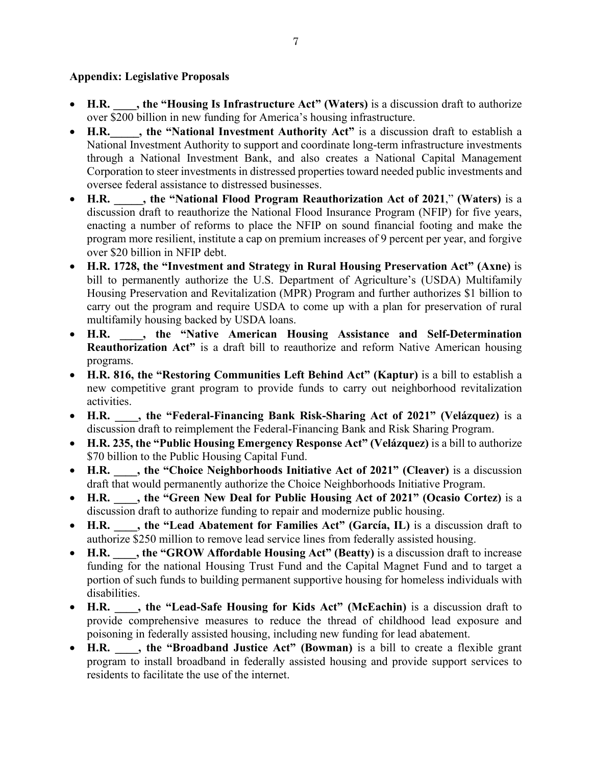# **Appendix: Legislative Proposals**

- **H.R. \_\_\_\_, the "Housing Is Infrastructure Act" (Waters)** is a discussion draft to authorize over \$200 billion in new funding for America's housing infrastructure.
- H.R. , the "National Investment Authority Act" is a discussion draft to establish a National Investment Authority to support and coordinate long-term infrastructure investments through a National Investment Bank, and also creates a National Capital Management Corporation to steer investments in distressed properties toward needed public investments and oversee federal assistance to distressed businesses.
- **H.R. \_\_\_\_\_, the "National Flood Program Reauthorization Act of 2021**," **(Waters)** is a discussion draft to reauthorize the National Flood Insurance Program (NFIP) for five years, enacting a number of reforms to place the NFIP on sound financial footing and make the program more resilient, institute a cap on premium increases of 9 percent per year, and forgive over \$20 billion in NFIP debt.
- **H.R. 1728, the "Investment and Strategy in Rural Housing Preservation Act" (Axne)** is bill to permanently authorize the U.S. Department of Agriculture's (USDA) Multifamily Housing Preservation and Revitalization (MPR) Program and further authorizes \$1 billion to carry out the program and require USDA to come up with a plan for preservation of rural multifamily housing backed by USDA loans.
- **H.R. \_\_\_\_, the "Native American Housing Assistance and Self-Determination Reauthorization Act"** is a draft bill to reauthorize and reform Native American housing programs.
- **H.R. 816, the "Restoring Communities Left Behind Act" (Kaptur)** is a bill to establish a new competitive grant program to provide funds to carry out neighborhood revitalization activities.
- **H.R. \_\_\_\_, the "Federal-Financing Bank Risk-Sharing Act of 2021" (Velázquez)** is a discussion draft to reimplement the Federal-Financing Bank and Risk Sharing Program.
- **H.R. 235, the "Public Housing Emergency Response Act" (Velázquez)** is a bill to authorize \$70 billion to the Public Housing Capital Fund.
- **H.R. \_\_\_\_, the "Choice Neighborhoods Initiative Act of 2021" (Cleaver)** is a discussion draft that would permanently authorize the Choice Neighborhoods Initiative Program.
- **H.R. \_\_\_\_, the "Green New Deal for Public Housing Act of 2021" (Ocasio Cortez)** is a discussion draft to authorize funding to repair and modernize public housing.
- **H.R. \_\_\_\_, the "Lead Abatement for Families Act" (García, IL)** is a discussion draft to authorize \$250 million to remove lead service lines from federally assisted housing.
- **H.R. \_\_\_\_, the "GROW Affordable Housing Act" (Beatty)** is a discussion draft to increase funding for the national Housing Trust Fund and the Capital Magnet Fund and to target a portion of such funds to building permanent supportive housing for homeless individuals with disabilities.
- **H.R. \_\_\_\_, the "Lead-Safe Housing for Kids Act" (McEachin)** is a discussion draft to provide comprehensive measures to reduce the thread of childhood lead exposure and poisoning in federally assisted housing, including new funding for lead abatement.
- **H.R. \_\_\_\_, the "Broadband Justice Act" (Bowman)** is a bill to create a flexible grant program to install broadband in federally assisted housing and provide support services to residents to facilitate the use of the internet.